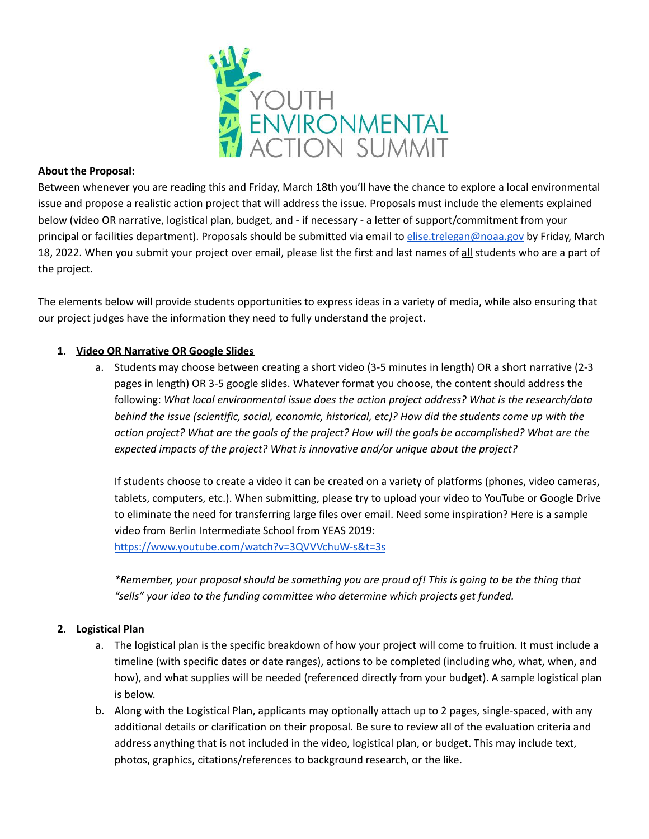

### **About the Proposal:**

Between whenever you are reading this and Friday, March 18th you'll have the chance to explore a local environmental issue and propose a realistic action project that will address the issue. Proposals must include the elements explained below (video OR narrative, logistical plan, budget, and - if necessary - a letter of support/commitment from your principal or facilities department). Proposals should be submitted via email to [elise.trelegan@noaa.gov](mailto:elise.trelegan@noaa.gov) by Friday, March 18, 2022. When you submit your project over email, please list the first and last names of all students who are a part of the project.

The elements below will provide students opportunities to express ideas in a variety of media, while also ensuring that our project judges have the information they need to fully understand the project.

### **1. Video OR Narrative OR Google Slides**

a. Students may choose between creating a short video (3-5 minutes in length) OR a short narrative (2-3 pages in length) OR 3-5 google slides. Whatever format you choose, the content should address the following: *What local environmental issue does the action project address? What is the research/data behind the issue (scientific, social, economic, historical, etc)? How did the students come up with the* action project? What are the goals of the project? How will the goals be accomplished? What are the *expected impacts of the project? What is innovative and/or unique about the project?*

If students choose to create a video it can be created on a variety of platforms (phones, video cameras, tablets, computers, etc.). When submitting, please try to upload your video to YouTube or Google Drive to eliminate the need for transferring large files over email. Need some inspiration? Here is a sample video from Berlin Intermediate School from YEAS 2019: <https://www.youtube.com/watch?v=3QVVVchuW-s&t=3s>

*\*Remember, your proposal should be something you are proud of! This is going to be the thing that "sells" your idea to the funding committee who determine which projects get funded.*

### **2. Logistical Plan**

- a. The logistical plan is the specific breakdown of how your project will come to fruition. It must include a timeline (with specific dates or date ranges), actions to be completed (including who, what, when, and how), and what supplies will be needed (referenced directly from your budget). A sample logistical plan is below.
- b. Along with the Logistical Plan, applicants may optionally attach up to 2 pages, single-spaced, with any additional details or clarification on their proposal. Be sure to review all of the evaluation criteria and address anything that is not included in the video, logistical plan, or budget. This may include text, photos, graphics, citations/references to background research, or the like.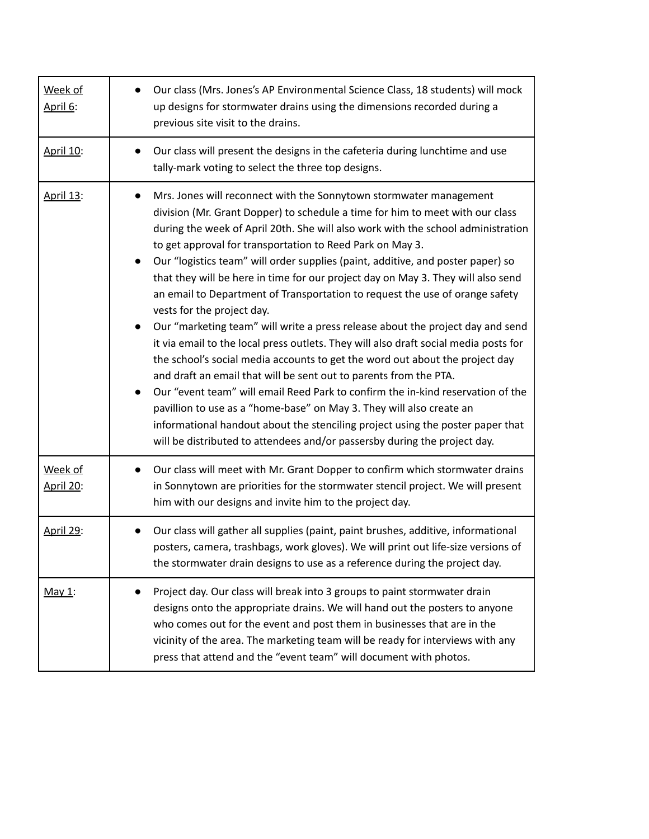| Week of<br>April 6:         | Our class (Mrs. Jones's AP Environmental Science Class, 18 students) will mock<br>up designs for stormwater drains using the dimensions recorded during a<br>previous site visit to the drains.                                                                                                                                                                                                                                                                                                                                                                                                                                                                                                                                                                                                                                                                                                                                                                                                                                                                                                                                                                                                                                                                 |
|-----------------------------|-----------------------------------------------------------------------------------------------------------------------------------------------------------------------------------------------------------------------------------------------------------------------------------------------------------------------------------------------------------------------------------------------------------------------------------------------------------------------------------------------------------------------------------------------------------------------------------------------------------------------------------------------------------------------------------------------------------------------------------------------------------------------------------------------------------------------------------------------------------------------------------------------------------------------------------------------------------------------------------------------------------------------------------------------------------------------------------------------------------------------------------------------------------------------------------------------------------------------------------------------------------------|
| April 10:                   | Our class will present the designs in the cafeteria during lunchtime and use<br>tally-mark voting to select the three top designs.                                                                                                                                                                                                                                                                                                                                                                                                                                                                                                                                                                                                                                                                                                                                                                                                                                                                                                                                                                                                                                                                                                                              |
| April 13:                   | Mrs. Jones will reconnect with the Sonnytown stormwater management<br>$\bullet$<br>division (Mr. Grant Dopper) to schedule a time for him to meet with our class<br>during the week of April 20th. She will also work with the school administration<br>to get approval for transportation to Reed Park on May 3.<br>Our "logistics team" will order supplies (paint, additive, and poster paper) so<br>that they will be here in time for our project day on May 3. They will also send<br>an email to Department of Transportation to request the use of orange safety<br>vests for the project day.<br>Our "marketing team" will write a press release about the project day and send<br>it via email to the local press outlets. They will also draft social media posts for<br>the school's social media accounts to get the word out about the project day<br>and draft an email that will be sent out to parents from the PTA.<br>Our "event team" will email Reed Park to confirm the in-kind reservation of the<br>pavillion to use as a "home-base" on May 3. They will also create an<br>informational handout about the stenciling project using the poster paper that<br>will be distributed to attendees and/or passersby during the project day. |
| Week of<br><b>April 20:</b> | Our class will meet with Mr. Grant Dopper to confirm which stormwater drains<br>in Sonnytown are priorities for the stormwater stencil project. We will present<br>him with our designs and invite him to the project day.                                                                                                                                                                                                                                                                                                                                                                                                                                                                                                                                                                                                                                                                                                                                                                                                                                                                                                                                                                                                                                      |
| <b>April 29:</b>            | Our class will gather all supplies (paint, paint brushes, additive, informational<br>posters, camera, trashbags, work gloves). We will print out life-size versions of<br>the stormwater drain designs to use as a reference during the project day.                                                                                                                                                                                                                                                                                                                                                                                                                                                                                                                                                                                                                                                                                                                                                                                                                                                                                                                                                                                                            |
| May $1$ :                   | Project day. Our class will break into 3 groups to paint stormwater drain<br>designs onto the appropriate drains. We will hand out the posters to anyone<br>who comes out for the event and post them in businesses that are in the<br>vicinity of the area. The marketing team will be ready for interviews with any<br>press that attend and the "event team" will document with photos.                                                                                                                                                                                                                                                                                                                                                                                                                                                                                                                                                                                                                                                                                                                                                                                                                                                                      |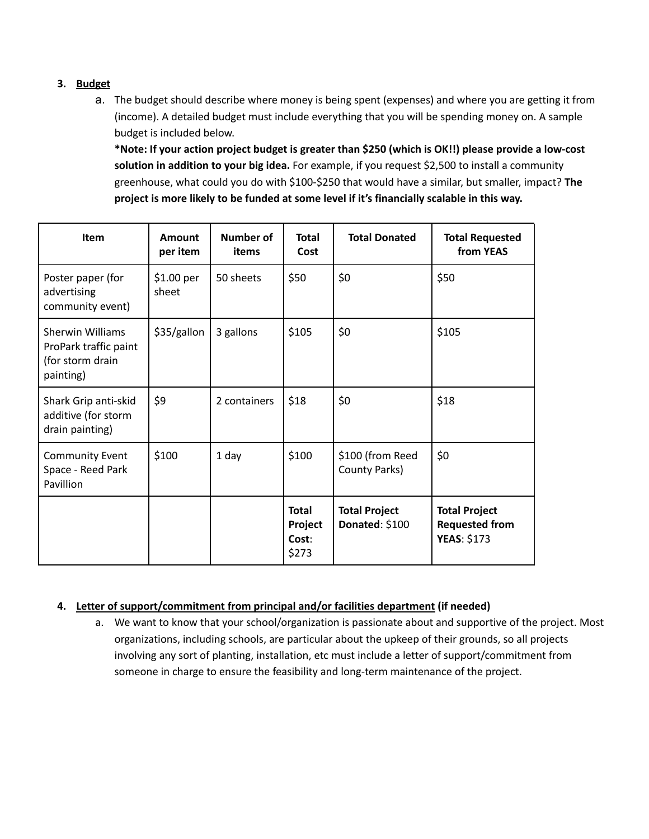## **3. Budget**

a. The budget should describe where money is being spent (expenses) and where you are getting it from (income). A detailed budget must include everything that you will be spending money on. A sample budget is included below.

**\*Note: If your action project budget is greater than \$250 (which is OK!!) please provide a low-cost solution in addition to your big idea.** For example, if you request \$2,500 to install a community greenhouse, what could you do with \$100-\$250 that would have a similar, but smaller, impact? **The project is more likely to be funded at some level if it's financially scalable in this way.**

| <b>Item</b>                                                                       | Amount<br>per item  | Number of<br>items | <b>Total</b><br>Cost                      | <b>Total Donated</b>                   | <b>Total Requested</b><br>from YEAS                                 |
|-----------------------------------------------------------------------------------|---------------------|--------------------|-------------------------------------------|----------------------------------------|---------------------------------------------------------------------|
| Poster paper (for<br>advertising<br>community event)                              | \$1.00 per<br>sheet | 50 sheets          | \$50                                      | \$0                                    | \$50                                                                |
| <b>Sherwin Williams</b><br>ProPark traffic paint<br>(for storm drain<br>painting) | \$35/gallon         | 3 gallons          | \$105                                     | \$0                                    | \$105                                                               |
| Shark Grip anti-skid<br>additive (for storm<br>drain painting)                    | \$9                 | 2 containers       | \$18                                      | \$0                                    | \$18                                                                |
| <b>Community Event</b><br>Space - Reed Park<br>Pavillion                          | \$100               | 1 day              | \$100                                     | \$100 (from Reed<br>County Parks)      | \$0                                                                 |
|                                                                                   |                     |                    | <b>Total</b><br>Project<br>Cost:<br>\$273 | <b>Total Project</b><br>Donated: \$100 | <b>Total Project</b><br><b>Requested from</b><br><b>YEAS: \$173</b> |

### **4. Letter of support/commitment from principal and/or facilities department (if needed)**

a. We want to know that your school/organization is passionate about and supportive of the project. Most organizations, including schools, are particular about the upkeep of their grounds, so all projects involving any sort of planting, installation, etc must include a letter of support/commitment from someone in charge to ensure the feasibility and long-term maintenance of the project.